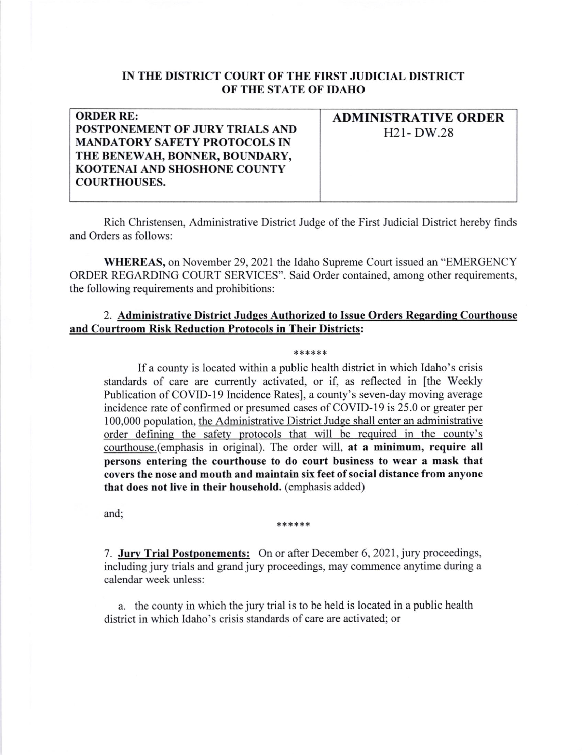## IN THE DISTRICT COURT OF THE FIRST JUDICIAL DISTRICT OF THE STATE OF IDAHO

| <b>ORDER RE:</b>                     | <b>ADMINISTRATIVE ORDER</b> |
|--------------------------------------|-----------------------------|
| POSTPONEMENT OF JURY TRIALS AND      | $H21-DW.28$                 |
| <b>MANDATORY SAFETY PROTOCOLS IN</b> |                             |
| THE BENEWAH, BONNER, BOUNDARY,       |                             |
| <b>KOOTENAL AND SHOSHONE COUNTY</b>  |                             |
| <b>COURTHOUSES.</b>                  |                             |
|                                      |                             |

Rich Christensen, Administrative District Judge of the First Judicial District hereby finds and Orders as follows:

WHEREAS, on November 29,2021 the Idaho Supreme Court issued an "EMERGENCY ORDER REGARDING COURT SERVICES". Said Order contained, among other requirements, the following requirements and prohibitions:

## 2. Administrative District Judges Authorized to Issue Orders Regarding Courthouse and Courtroom Risk Reduction Protocols in Their Districts:

## \*\*\*\*\*

If a county is located within a public health district in which Idaho's crisis standards of care are currently activated, or if, as reflected in [the Weekly Publication of COVID-19 Incidence Rates], a county's seven-day moving average incidence rate of confirmed or presumed cases of COVID-19 is 25.0 or greater per 100,000 population, the Administrative District Judge shall enter an administrative order defining the safety protocols that will be required in the county's courthouse (emphasis in original). The order will, at a minimum, require all persons entering the courthouse to do court business to wear a mask that covers the nose and mouth and maintain six feet of social distance from anyone that does not live in their household, (emphasis added)

and;

## \*\*\*\*\*\*

7. Jury Trial Postponements: On or after December 6, 2021, jury proceedings, including jury trials and grand jury proceedings, may commence anytime during a calendar week unless:

a. the county in which the jury trial is to be held is located in a public health district in which Idaho's crisis standards of care are activated; or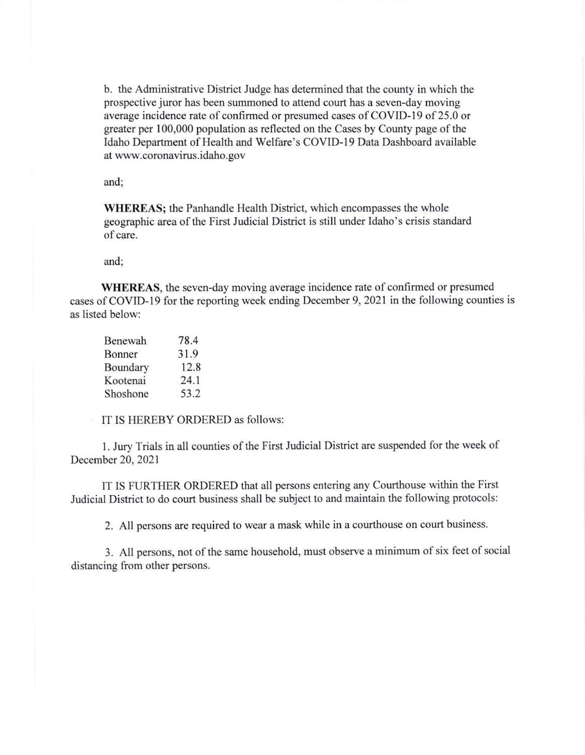b. the Administrative District Judge has determined that the county in which the prospective juror has been summoned to attend court has a seven-day moving average incidence rate of confirmed or presumed cases of COVID-19 of 25.0 or greater per 100,000 population as reflected on the Cases by County page of the Idaho Department of Health and Welfare's COVID-I9 Data Dashboard available at www.coronavirus.idaho.gov

and;

WHEREAS; the Panhandle Health District, which encompasses the whole geographic area of the First Judicial District is still under Idaho's crisis standard of care.

and

WHEREAS, the seven-day moving average incidence rate of confirmed or presumed cases of COVID-19 for the reporting week ending December 9,2021 in the following counties is as listed below:

| Benewah  | 78.4 |
|----------|------|
| Bonner   | 31.9 |
| Boundary | 12.8 |
| Kootenai | 24.1 |
| Shoshone | 53.2 |

IT IS HEREBY ORDERED as follows:

l. Jury Trials in all counties of the First Judicial District are suspended for the week of December 20, 2021

IT IS FURTHER ORDERED that all persons entering any Courthouse within the First Judicial District to do court business shall be subject to and maintain the following protocols:

2. All persons are required to wear a mask while in a courthouse on court business.

3. All persons, not of the same household, must observe a minimum of six feet of social distancing from other persons.